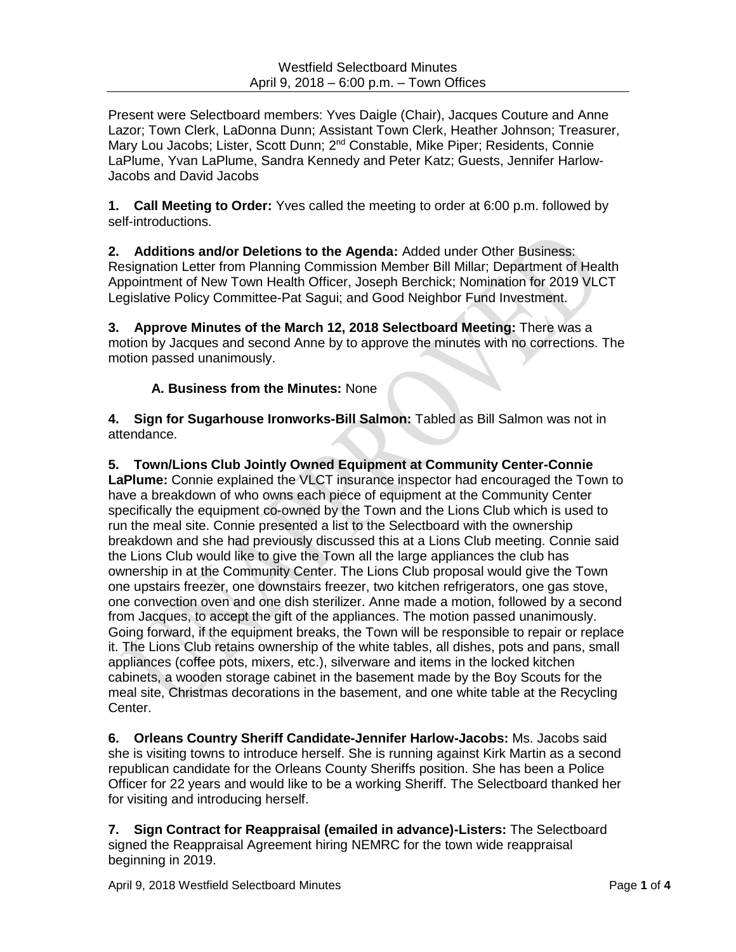Present were Selectboard members: Yves Daigle (Chair), Jacques Couture and Anne Lazor; Town Clerk, LaDonna Dunn; Assistant Town Clerk, Heather Johnson; Treasurer, Mary Lou Jacobs; Lister, Scott Dunn; 2<sup>nd</sup> Constable, Mike Piper; Residents, Connie LaPlume, Yvan LaPlume, Sandra Kennedy and Peter Katz; Guests, Jennifer Harlow-Jacobs and David Jacobs

**1. Call Meeting to Order:** Yves called the meeting to order at 6:00 p.m. followed by self-introductions.

**2. Additions and/or Deletions to the Agenda:** Added under Other Business: Resignation Letter from Planning Commission Member Bill Millar; Department of Health Appointment of New Town Health Officer, Joseph Berchick; Nomination for 2019 VLCT Legislative Policy Committee-Pat Sagui; and Good Neighbor Fund Investment.

**3. Approve Minutes of the March 12, 2018 Selectboard Meeting:** There was a motion by Jacques and second Anne by to approve the minutes with no corrections. The motion passed unanimously.

# **A. Business from the Minutes:** None

**4. Sign for Sugarhouse Ironworks-Bill Salmon:** Tabled as Bill Salmon was not in attendance.

**5. Town/Lions Club Jointly Owned Equipment at Community Center-Connie LaPlume:** Connie explained the VLCT insurance inspector had encouraged the Town to have a breakdown of who owns each piece of equipment at the Community Center specifically the equipment co-owned by the Town and the Lions Club which is used to run the meal site. Connie presented a list to the Selectboard with the ownership breakdown and she had previously discussed this at a Lions Club meeting. Connie said the Lions Club would like to give the Town all the large appliances the club has ownership in at the Community Center. The Lions Club proposal would give the Town one upstairs freezer, one downstairs freezer, two kitchen refrigerators, one gas stove, one convection oven and one dish sterilizer. Anne made a motion, followed by a second from Jacques, to accept the gift of the appliances. The motion passed unanimously. Going forward, if the equipment breaks, the Town will be responsible to repair or replace it. The Lions Club retains ownership of the white tables, all dishes, pots and pans, small appliances (coffee pots, mixers, etc.), silverware and items in the locked kitchen cabinets, a wooden storage cabinet in the basement made by the Boy Scouts for the meal site, Christmas decorations in the basement, and one white table at the Recycling Center.

**6. Orleans Country Sheriff Candidate-Jennifer Harlow-Jacobs:** Ms. Jacobs said she is visiting towns to introduce herself. She is running against Kirk Martin as a second republican candidate for the Orleans County Sheriffs position. She has been a Police Officer for 22 years and would like to be a working Sheriff. The Selectboard thanked her for visiting and introducing herself.

**7. Sign Contract for Reappraisal (emailed in advance)-Listers:** The Selectboard signed the Reappraisal Agreement hiring NEMRC for the town wide reappraisal beginning in 2019.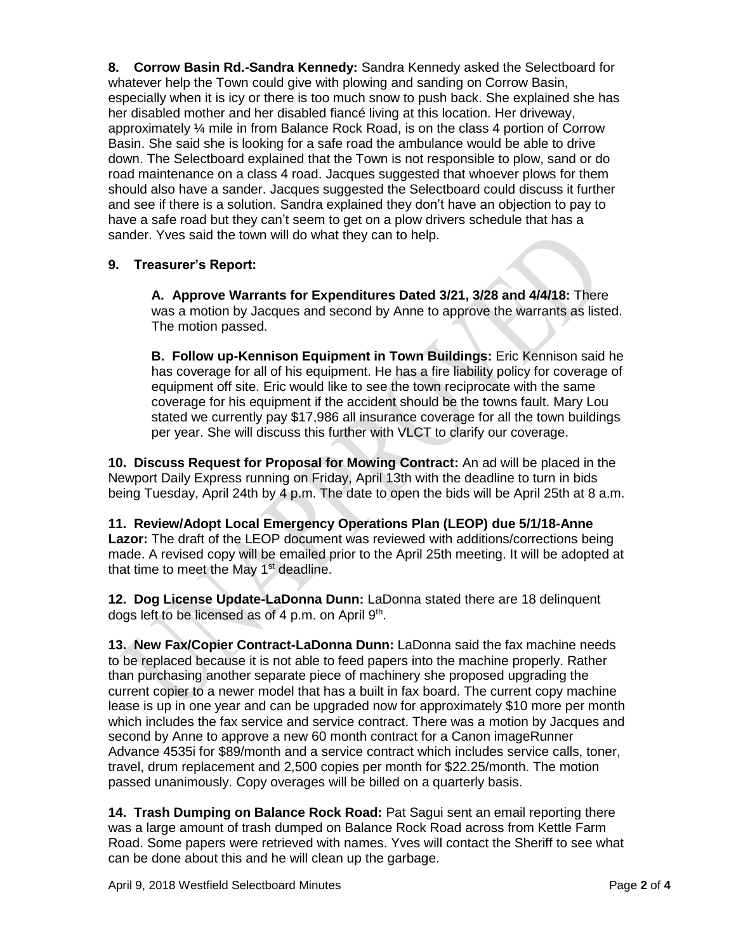**8. Corrow Basin Rd.-Sandra Kennedy:** Sandra Kennedy asked the Selectboard for whatever help the Town could give with plowing and sanding on Corrow Basin, especially when it is icy or there is too much snow to push back. She explained she has her disabled mother and her disabled fiancé living at this location. Her driveway, approximately ¼ mile in from Balance Rock Road, is on the class 4 portion of Corrow Basin. She said she is looking for a safe road the ambulance would be able to drive down. The Selectboard explained that the Town is not responsible to plow, sand or do road maintenance on a class 4 road. Jacques suggested that whoever plows for them should also have a sander. Jacques suggested the Selectboard could discuss it further and see if there is a solution. Sandra explained they don't have an objection to pay to have a safe road but they can't seem to get on a plow drivers schedule that has a sander. Yves said the town will do what they can to help.

## **9. Treasurer's Report:**

**A. Approve Warrants for Expenditures Dated 3/21, 3/28 and 4/4/18:** There was a motion by Jacques and second by Anne to approve the warrants as listed. The motion passed.

**B. Follow up-Kennison Equipment in Town Buildings:** Eric Kennison said he has coverage for all of his equipment. He has a fire liability policy for coverage of equipment off site. Eric would like to see the town reciprocate with the same coverage for his equipment if the accident should be the towns fault. Mary Lou stated we currently pay \$17,986 all insurance coverage for all the town buildings per year. She will discuss this further with VLCT to clarify our coverage.

**10. Discuss Request for Proposal for Mowing Contract:** An ad will be placed in the Newport Daily Express running on Friday, April 13th with the deadline to turn in bids being Tuesday, April 24th by 4 p.m. The date to open the bids will be April 25th at 8 a.m.

**11. Review/Adopt Local Emergency Operations Plan (LEOP) due 5/1/18-Anne Lazor:** The draft of the LEOP document was reviewed with additions/corrections being made. A revised copy will be emailed prior to the April 25th meeting. It will be adopted at that time to meet the May 1<sup>st</sup> deadline.

**12. Dog License Update-LaDonna Dunn:** LaDonna stated there are 18 delinquent dogs left to be licensed as of 4 p.m. on April 9<sup>th</sup>.

**13. New Fax/Copier Contract-LaDonna Dunn:** LaDonna said the fax machine needs to be replaced because it is not able to feed papers into the machine properly. Rather than purchasing another separate piece of machinery she proposed upgrading the current copier to a newer model that has a built in fax board. The current copy machine lease is up in one year and can be upgraded now for approximately \$10 more per month which includes the fax service and service contract. There was a motion by Jacques and second by Anne to approve a new 60 month contract for a Canon imageRunner Advance 4535i for \$89/month and a service contract which includes service calls, toner, travel, drum replacement and 2,500 copies per month for \$22.25/month. The motion passed unanimously. Copy overages will be billed on a quarterly basis.

**14. Trash Dumping on Balance Rock Road:** Pat Sagui sent an email reporting there was a large amount of trash dumped on Balance Rock Road across from Kettle Farm Road. Some papers were retrieved with names. Yves will contact the Sheriff to see what can be done about this and he will clean up the garbage.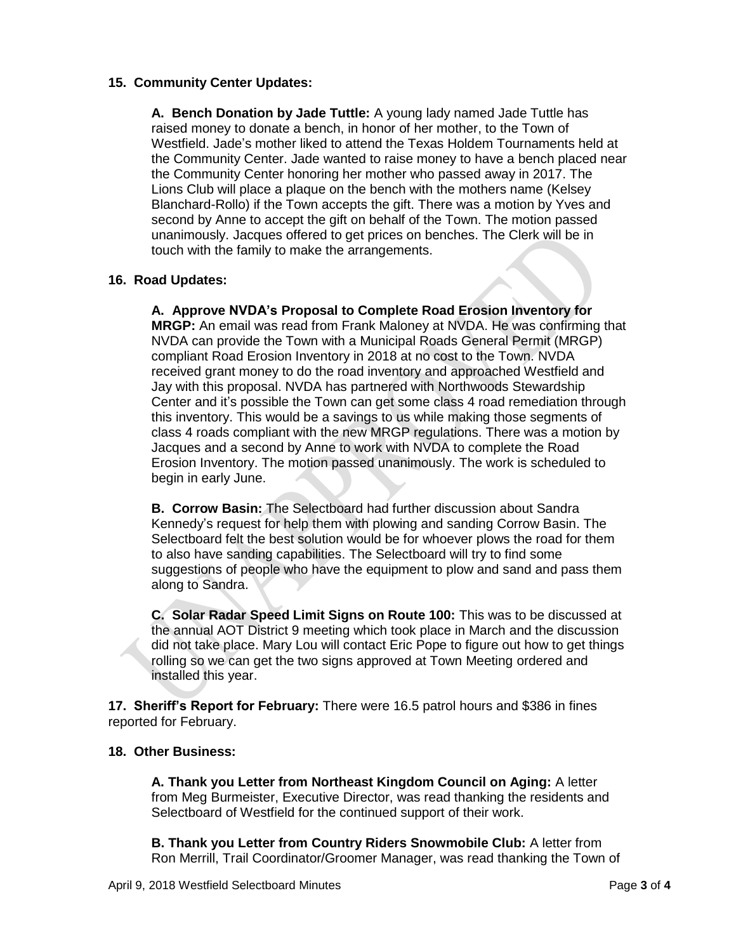### **15. Community Center Updates:**

**A. Bench Donation by Jade Tuttle:** A young lady named Jade Tuttle has raised money to donate a bench, in honor of her mother, to the Town of Westfield. Jade's mother liked to attend the Texas Holdem Tournaments held at the Community Center. Jade wanted to raise money to have a bench placed near the Community Center honoring her mother who passed away in 2017. The Lions Club will place a plaque on the bench with the mothers name (Kelsey Blanchard-Rollo) if the Town accepts the gift. There was a motion by Yves and second by Anne to accept the gift on behalf of the Town. The motion passed unanimously. Jacques offered to get prices on benches. The Clerk will be in touch with the family to make the arrangements.

### **16. Road Updates:**

**A. Approve NVDA's Proposal to Complete Road Erosion Inventory for MRGP:** An email was read from Frank Maloney at NVDA. He was confirming that NVDA can provide the Town with a Municipal Roads General Permit (MRGP) compliant Road Erosion Inventory in 2018 at no cost to the Town. NVDA received grant money to do the road inventory and approached Westfield and Jay with this proposal. NVDA has partnered with Northwoods Stewardship Center and it's possible the Town can get some class 4 road remediation through this inventory. This would be a savings to us while making those segments of class 4 roads compliant with the new MRGP regulations. There was a motion by Jacques and a second by Anne to work with NVDA to complete the Road Erosion Inventory. The motion passed unanimously. The work is scheduled to begin in early June.

**B. Corrow Basin:** The Selectboard had further discussion about Sandra Kennedy's request for help them with plowing and sanding Corrow Basin. The Selectboard felt the best solution would be for whoever plows the road for them to also have sanding capabilities. The Selectboard will try to find some suggestions of people who have the equipment to plow and sand and pass them along to Sandra.

**C. Solar Radar Speed Limit Signs on Route 100:** This was to be discussed at the annual AOT District 9 meeting which took place in March and the discussion did not take place. Mary Lou will contact Eric Pope to figure out how to get things rolling so we can get the two signs approved at Town Meeting ordered and installed this year.

**17. Sheriff's Report for February:** There were 16.5 patrol hours and \$386 in fines reported for February.

#### **18. Other Business:**

**A. Thank you Letter from Northeast Kingdom Council on Aging:** A letter from Meg Burmeister, Executive Director, was read thanking the residents and Selectboard of Westfield for the continued support of their work.

**B. Thank you Letter from Country Riders Snowmobile Club:** A letter from Ron Merrill, Trail Coordinator/Groomer Manager, was read thanking the Town of